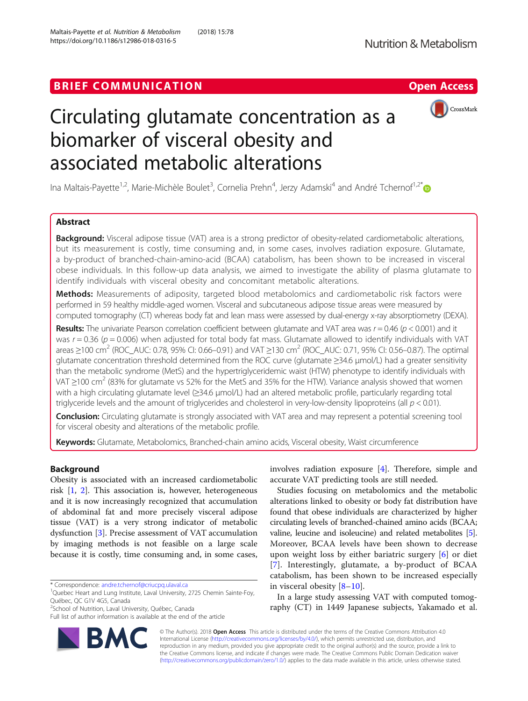## BRIEF COMMUNICATION **EXAMPLE ACCESS**



# Circulating glutamate concentration as a biomarker of visceral obesity and associated metabolic alterations

Ina Maltais-Payette<sup>1,2</sup>, Marie-Michèle Boulet<sup>3</sup>, Cornelia Prehn<sup>4</sup>, Jerzy Adamski<sup>4</sup> and André Tchernof<sup>1,2[\\*](http://orcid.org/0000-0002-2587-1000)</sup>

## Abstract

Background: Visceral adipose tissue (VAT) area is a strong predictor of obesity-related cardiometabolic alterations, but its measurement is costly, time consuming and, in some cases, involves radiation exposure. Glutamate, a by-product of branched-chain-amino-acid (BCAA) catabolism, has been shown to be increased in visceral obese individuals. In this follow-up data analysis, we aimed to investigate the ability of plasma glutamate to identify individuals with visceral obesity and concomitant metabolic alterations.

Methods: Measurements of adiposity, targeted blood metabolomics and cardiometabolic risk factors were performed in 59 healthy middle-aged women. Visceral and subcutaneous adipose tissue areas were measured by computed tomography (CT) whereas body fat and lean mass were assessed by dual-energy x-ray absorptiometry (DEXA).

Results: The univariate Pearson correlation coefficient between glutamate and VAT area was  $r = 0.46$  ( $p < 0.001$ ) and it was  $r = 0.36$  ( $p = 0.006$ ) when adjusted for total body fat mass. Glutamate allowed to identify individuals with VAT areas  $\geq$ 100 cm<sup>2</sup> (ROC\_AUC: 0.78, 95% CI: 0.66–0.91) and VAT  $\geq$ 130 cm<sup>2</sup> (ROC\_AUC: 0.71, 95% CI: 0.56–0.87). The optimal glutamate concentration threshold determined from the ROC curve (glutamate ≥34.6 μmol/L) had a greater sensitivity than the metabolic syndrome (MetS) and the hypertriglyceridemic waist (HTW) phenotype to identify individuals with VAT  $\geq$ 100 cm<sup>2</sup> (83% for glutamate vs 52% for the MetS and 35% for the HTW). Variance analysis showed that women with a high circulating glutamate level (≥34.6 μmol/L) had an altered metabolic profile, particularly regarding total triglyceride levels and the amount of triglycerides and cholesterol in very-low-density lipoproteins (all  $p < 0.01$ ).

Conclusion: Circulating glutamate is strongly associated with VAT area and may represent a potential screening tool for visceral obesity and alterations of the metabolic profile.

Keywords: Glutamate, Metabolomics, Branched-chain amino acids, Visceral obesity, Waist circumference

## Background

Obesity is associated with an increased cardiometabolic risk [\[1](#page-5-0), [2\]](#page-5-0). This association is, however, heterogeneous and it is now increasingly recognized that accumulation of abdominal fat and more precisely visceral adipose tissue (VAT) is a very strong indicator of metabolic dysfunction [\[3](#page-5-0)]. Precise assessment of VAT accumulation by imaging methods is not feasible on a large scale because it is costly, time consuming and, in some cases,



Studies focusing on metabolomics and the metabolic alterations linked to obesity or body fat distribution have found that obese individuals are characterized by higher circulating levels of branched-chained amino acids (BCAA; valine, leucine and isoleucine) and related metabolites [[5](#page-5-0)]. Moreover, BCAA levels have been shown to decrease upon weight loss by either bariatric surgery [\[6](#page-5-0)] or diet [[7\]](#page-5-0). Interestingly, glutamate, a by-product of BCAA catabolism, has been shown to be increased especially in visceral obesity [[8](#page-5-0)–[10](#page-5-0)].

In a large study assessing VAT with computed tomography (CT) in 1449 Japanese subjects, Yakamado et al.

© The Author(s). 2018 Open Access This article is distributed under the terms of the Creative Commons Attribution 4.0 International License [\(http://creativecommons.org/licenses/by/4.0/](http://creativecommons.org/licenses/by/4.0/)), which permits unrestricted use, distribution, and reproduction in any medium, provided you give appropriate credit to the original author(s) and the source, provide a link to the Creative Commons license, and indicate if changes were made. The Creative Commons Public Domain Dedication waiver [\(http://creativecommons.org/publicdomain/zero/1.0/](http://creativecommons.org/publicdomain/zero/1.0/)) applies to the data made available in this article, unless otherwise stated.



<sup>\*</sup> Correspondence: [andre.tchernof@criucpq.ulaval.ca](mailto:andre.tchernof@criucpq.ulaval.ca) <sup>1</sup>

<sup>&</sup>lt;sup>1</sup>Quebec Heart and Lung Institute, Laval University, 2725 Chemin Sainte-Foy, Québec, QC G1V 4G5, Canada

<sup>&</sup>lt;sup>2</sup>School of Nutrition, Laval University, Québec, Canada

Full list of author information is available at the end of the article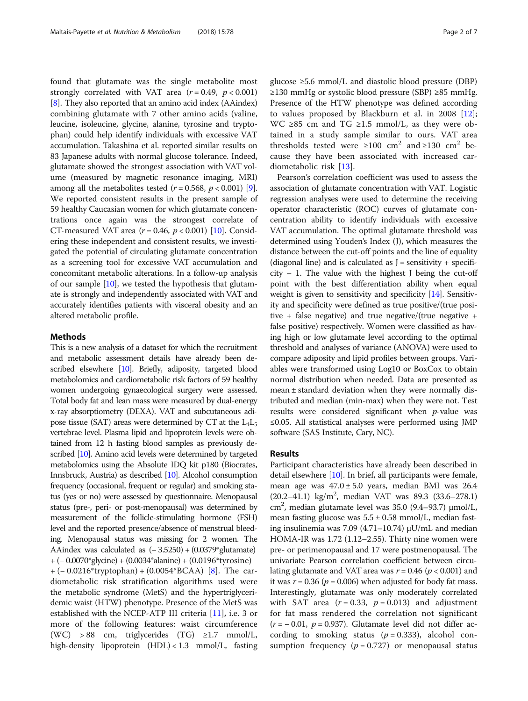found that glutamate was the single metabolite most strongly correlated with VAT area  $(r = 0.49, p < 0.001)$ [[8\]](#page-5-0). They also reported that an amino acid index (AAindex) combining glutamate with 7 other amino acids (valine, leucine, isoleucine, glycine, alanine, tyrosine and tryptophan) could help identify individuals with excessive VAT accumulation. Takashina et al. reported similar results on 83 Japanese adults with normal glucose tolerance. Indeed, glutamate showed the strongest association with VAT volume (measured by magnetic resonance imaging, MRI) among all the metabolites tested  $(r = 0.568, p < 0.001)$  [[9](#page-5-0)]. We reported consistent results in the present sample of 59 healthy Caucasian women for which glutamate concentrations once again was the strongest correlate of CT-measured VAT area ( $r = 0.46$ ,  $p < 0.001$ ) [\[10](#page-5-0)]. Considering these independent and consistent results, we investigated the potential of circulating glutamate concentration as a screening tool for excessive VAT accumulation and concomitant metabolic alterations. In a follow-up analysis of our sample  $[10]$  $[10]$ , we tested the hypothesis that glutamate is strongly and independently associated with VAT and accurately identifies patients with visceral obesity and an altered metabolic profile.

#### Methods

This is a new analysis of a dataset for which the recruitment and metabolic assessment details have already been described elsewhere [[10\]](#page-5-0). Briefly, adiposity, targeted blood metabolomics and cardiometabolic risk factors of 59 healthy women undergoing gynaecological surgery were assessed. Total body fat and lean mass were measured by dual-energy x-ray absorptiometry (DEXA). VAT and subcutaneous adipose tissue (SAT) areas were determined by CT at the  $L_4L_5$ vertebrae level. Plasma lipid and lipoprotein levels were obtained from 12 h fasting blood samples as previously described [\[10](#page-5-0)]. Amino acid levels were determined by targeted metabolomics using the Absolute IDQ kit p180 (Biocrates, Innsbruck, Austria) as described [[10](#page-5-0)]. Alcohol consumption frequency (occasional, frequent or regular) and smoking status (yes or no) were assessed by questionnaire. Menopausal status (pre-, peri- or post-menopausal) was determined by measurement of the follicle-stimulating hormone (FSH) level and the reported presence/absence of menstrual bleeding. Menopausal status was missing for 2 women. The AAindex was calculated as (− 3.5250) + (0.0379\*glutamate) + (− 0.0070\*glycine) + (0.0034\*alanine) + (0.0196\*tyrosine) + (− 0.0216\*tryptophan) + (0.0054\*BCAA) [[8\]](#page-5-0). The cardiometabolic risk stratification algorithms used were the metabolic syndrome (MetS) and the hypertriglyceridemic waist (HTW) phenotype. Presence of the MetS was established with the NCEP-ATP III criteria [[11\]](#page-5-0), i.e. 3 or more of the following features: waist circumference (WC) > 88 cm, triglycerides (TG)  $\geq$ 1.7 mmol/L, high-density lipoprotein (HDL) < 1.3 mmol/L, fasting glucose ≥5.6 mmol/L and diastolic blood pressure (DBP) ≥130 mmHg or systolic blood pressure (SBP) ≥85 mmHg. Presence of the HTW phenotype was defined according to values proposed by Blackburn et al. in 2008  $[12]$  $[12]$ ; WC ≥85 cm and TG ≥1.5 mmol/L, as they were obtained in a study sample similar to ours. VAT area thresholds tested were ≥100 cm<sup>2</sup> and ≥130 cm<sup>2</sup> because they have been associated with increased cardiometabolic risk [[13\]](#page-5-0).

Pearson's correlation coefficient was used to assess the association of glutamate concentration with VAT. Logistic regression analyses were used to determine the receiving operator characteristic (ROC) curves of glutamate concentration ability to identify individuals with excessive VAT accumulation. The optimal glutamate threshold was determined using Youden's Index (J), which measures the distance between the cut-off points and the line of equality (diagonal line) and is calculated as  $J =$  sensitivity + specifi $city - 1$ . The value with the highest J being the cut-off point with the best differentiation ability when equal weight is given to sensitivity and specificity [\[14\]](#page-5-0). Sensitivity and specificity were defined as true positive/(true positive + false negative) and true negative/(true negative + false positive) respectively. Women were classified as having high or low glutamate level according to the optimal threshold and analyses of variance (ANOVA) were used to compare adiposity and lipid profiles between groups. Variables were transformed using Log10 or BoxCox to obtain normal distribution when needed. Data are presented as mean ± standard deviation when they were normally distributed and median (min-max) when they were not. Test results were considered significant when  $p$ -value was ≤0.05. All statistical analyses were performed using JMP software (SAS Institute, Cary, NC).

### Results

Participant characteristics have already been described in detail elsewhere [\[10\]](#page-5-0). In brief, all participants were female, mean age was  $47.0 \pm 5.0$  years, median BMI was 26.4 (20.2-41.1) kg/m<sup>2</sup>, median VAT was 89.3 (33.6-278.1) cm2 , median glutamate level was 35.0 (9.4–93.7) μmol/L, mean fasting glucose was  $5.5 \pm 0.58$  mmol/L, median fasting insulinemia was 7.09 (4.71–10.74) μU/mL and median HOMA-IR was 1.72 (1.12–2.55). Thirty nine women were pre- or perimenopausal and 17 were postmenopausal. The univariate Pearson correlation coefficient between circulating glutamate and VAT area was  $r = 0.46$  ( $p < 0.001$ ) and it was  $r = 0.36$  ( $p = 0.006$ ) when adjusted for body fat mass. Interestingly, glutamate was only moderately correlated with SAT area  $(r = 0.33, p = 0.013)$  and adjustment for fat mass rendered the correlation not significant  $(r = -0.01, p = 0.937)$ . Glutamate level did not differ according to smoking status ( $p = 0.333$ ), alcohol consumption frequency ( $p = 0.727$ ) or menopausal status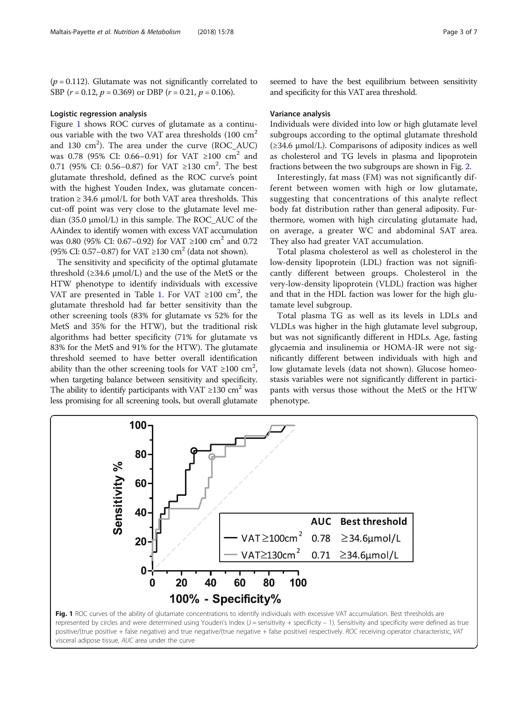$(p = 0.112)$ . Glutamate was not significantly correlated to SBP  $(r = 0.12, p = 0.369)$  or DBP  $(r = 0.21, p = 0.106)$ .

#### Logistic regression analysis

Figure 1 shows ROC curves of glutamate as a continuous variable with the two VAT area thresholds (100 cm<sup>2</sup> and 130  $\text{cm}^2$ ). The area under the curve (ROC\_AUC) was 0.78 (95% CI: 0.66–0.91) for VAT ≥100 cm<sup>2</sup> and 0.71 (95% CI: 0.56–0.87) for VAT ≥130 cm<sup>2</sup>. The best glutamate threshold, defined as the ROC curve's point with the highest Youden Index, was glutamate concentration  $\geq$  34.6  $\mu$ mol/L for both VAT area thresholds. This cut-off point was very close to the glutamate level median  $(35.0 \mu \text{mol/L})$  in this sample. The ROC\_AUC of the AAindex to identify women with excess VAT accumulation was 0.80 (95% CI: 0.67–0.92) for VAT ≥100 cm<sup>2</sup> and 0.72 (95% CI: 0.57–0.87) for VAT ≥130 cm2 (data not shown).

The sensitivity and specificity of the optimal glutamate threshold  $(\geq 34.6 \text{ \mu}$  umol/L) and the use of the MetS or the HTW phenotype to identify individuals with excessive VAT are presented in Table [1.](#page-3-0) For VAT  $\geq 100$  cm<sup>2</sup>, the glutamate threshold had far better sensitivity than the other screening tools (83% for glutamate vs 52% for the MetS and 35% for the HTW), but the traditional risk algorithms had better specificity (71% for glutamate vs 83% for the MetS and 91% for the HTW). The glutamate threshold seemed to have better overall identification ability than the other screening tools for VAT  $\geq$ 100 cm<sup>2</sup>, when targeting balance between sensitivity and specificity. The ability to identify participants with VAT  $\geq$ 130 cm<sup>2</sup> was less promising for all screening tools, but overall glutamate seemed to have the best equilibrium between sensitivity and specificity for this VAT area threshold.

#### Variance analysis

Individuals were divided into low or high glutamate level subgroups according to the optimal glutamate threshold (≥34.6 μmol/L). Comparisons of adiposity indices as well as cholesterol and TG levels in plasma and lipoprotein fractions between the two subgroups are shown in Fig. [2.](#page-4-0)

Interestingly, fat mass (FM) was not significantly different between women with high or low glutamate, suggesting that concentrations of this analyte reflect body fat distribution rather than general adiposity. Furthermore, women with high circulating glutamate had, on average, a greater WC and abdominal SAT area. They also had greater VAT accumulation.

Total plasma cholesterol as well as cholesterol in the low-density lipoprotein (LDL) fraction was not significantly different between groups. Cholesterol in the very-low-density lipoprotein (VLDL) fraction was higher and that in the HDL faction was lower for the high glutamate level subgroup.

Total plasma TG as well as its levels in LDLs and VLDLs was higher in the high glutamate level subgroup, but was not significantly different in HDLs. Age, fasting glycaemia and insulinemia or HOMA-IR were not significantly different between individuals with high and low glutamate levels (data not shown). Glucose homeostasis variables were not significantly different in participants with versus those without the MetS or the HTW phenotype.

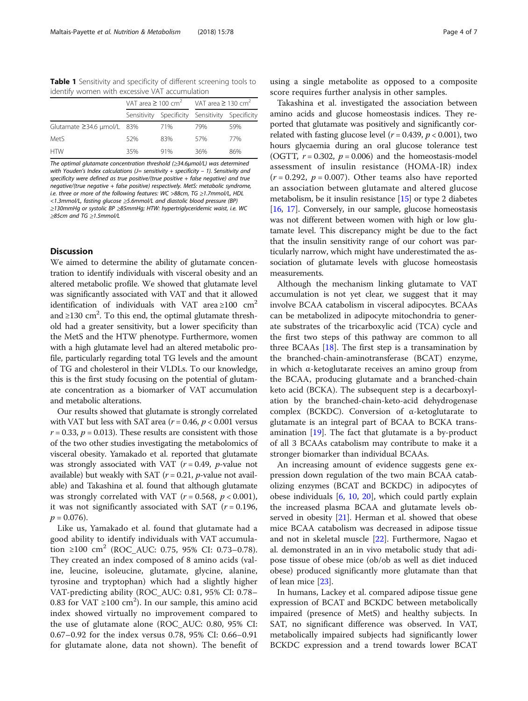<span id="page-3-0"></span>Table 1 Sensitivity and specificity of different screening tools to identify women with excessive VAT accumulation

|                                  | VAT area $\geq 100 \text{ cm}^2$ VAT area $\geq 130 \text{ cm}^2$ |                                                 |     |     |
|----------------------------------|-------------------------------------------------------------------|-------------------------------------------------|-----|-----|
|                                  |                                                                   | Sensitivity Specificity Sensitivity Specificity |     |     |
| Glutamate $\geq$ 34.6 µmol/L 83% |                                                                   | 71%                                             | 79% | 59% |
| Met <sub>S</sub>                 | 52%                                                               | 83%                                             | 57% | 77% |
| <b>HTW</b>                       | 35%                                                               | 91%                                             | 36% | 86% |

The optimal glutamate concentration threshold (≥34.6μmol/L) was determined with Youden's Index calculations ( $J=$  sensitivity + specificity – 1). Sensitivity and specificity were defined as true positive/(true positive + false negative) and true negative/(true negative + false positive) respectively. MetS: metabolic syndrome, i.e. three or more of the following features: WC >88cm, TG ≥1.7mmol/L, HDL <1.3mmol/L, fasting glucose ≥5.6mmol/L and diastolic blood pressure (BP) ≥130mmHg or systolic BP ≥85mmHg; HTW: hypertriglyceridemic waist, i.e. WC ≥85cm and TG ≥1.5mmol/L

## **Discussion**

We aimed to determine the ability of glutamate concentration to identify individuals with visceral obesity and an altered metabolic profile. We showed that glutamate level was significantly associated with VAT and that it allowed identification of individuals with VAT area ≥100  $cm<sup>2</sup>$ and ≥130 cm<sup>2</sup>. To this end, the optimal glutamate threshold had a greater sensitivity, but a lower specificity than the MetS and the HTW phenotype. Furthermore, women with a high glutamate level had an altered metabolic profile, particularly regarding total TG levels and the amount of TG and cholesterol in their VLDLs. To our knowledge, this is the first study focusing on the potential of glutamate concentration as a biomarker of VAT accumulation and metabolic alterations.

Our results showed that glutamate is strongly correlated with VAT but less with SAT area ( $r = 0.46$ ,  $p < 0.001$  versus  $r = 0.33$ ,  $p = 0.013$ ). These results are consistent with those of the two other studies investigating the metabolomics of visceral obesity. Yamakado et al. reported that glutamate was strongly associated with VAT ( $r = 0.49$ ,  $p$ -value not available) but weakly with SAT  $(r = 0.21, p$ -value not available) and Takashina et al. found that although glutamate was strongly correlated with VAT ( $r = 0.568$ ,  $p < 0.001$ ), it was not significantly associated with SAT  $(r = 0.196,$  $p = 0.076$ .

Like us, Yamakado et al. found that glutamate had a good ability to identify individuals with VAT accumulation ≥100 cm<sup>2</sup> (ROC\_AUC: 0.75, 95% CI: 0.73–0.78). They created an index composed of 8 amino acids (valine, leucine, isoleucine, glutamate, glycine, alanine, tyrosine and tryptophan) which had a slightly higher VAT-predicting ability (ROC\_AUC: 0.81, 95% CI: 0.78– 0.83 for VAT  $\geq$ 100 cm<sup>2</sup>). In our sample, this amino acid index showed virtually no improvement compared to the use of glutamate alone (ROC\_AUC: 0.80, 95% CI: 0.67–0.92 for the index versus 0.78, 95% CI: 0.66–0.91 for glutamate alone, data not shown). The benefit of using a single metabolite as opposed to a composite score requires further analysis in other samples.

Takashina et al. investigated the association between amino acids and glucose homeostasis indices. They reported that glutamate was positively and significantly correlated with fasting glucose level ( $r = 0.439$ ,  $p < 0.001$ ), two hours glycaemia during an oral glucose tolerance test (OGTT,  $r = 0.302$ ,  $p = 0.006$ ) and the homeostasis-model assessment of insulin resistance (HOMA-IR) index  $(r = 0.292, p = 0.007)$ . Other teams also have reported an association between glutamate and altered glucose metabolism, be it insulin resistance  $[15]$  $[15]$  $[15]$  or type 2 diabetes [[16](#page-5-0), [17](#page-5-0)]. Conversely, in our sample, glucose homeostasis was not different between women with high or low glutamate level. This discrepancy might be due to the fact that the insulin sensitivity range of our cohort was particularly narrow, which might have underestimated the association of glutamate levels with glucose homeostasis measurements.

Although the mechanism linking glutamate to VAT accumulation is not yet clear, we suggest that it may involve BCAA catabolism in visceral adipocytes. BCAAs can be metabolized in adipocyte mitochondria to generate substrates of the tricarboxylic acid (TCA) cycle and the first two steps of this pathway are common to all three BCAAs  $[18]$  $[18]$ . The first step is a transamination by the branched-chain-aminotransferase (BCAT) enzyme, in which α-ketoglutarate receives an amino group from the BCAA, producing glutamate and a branched-chain keto acid (BCKA). The subsequent step is a decarboxylation by the branched-chain-keto-acid dehydrogenase complex (BCKDC). Conversion of α-ketoglutarate to glutamate is an integral part of BCAA to BCKA transamination [[19\]](#page-5-0). The fact that glutamate is a by-product of all 3 BCAAs catabolism may contribute to make it a stronger biomarker than individual BCAAs.

An increasing amount of evidence suggests gene expression down regulation of the two main BCAA catabolizing enzymes (BCAT and BCKDC) in adipocytes of obese individuals [\[6](#page-5-0), [10,](#page-5-0) [20\]](#page-5-0), which could partly explain the increased plasma BCAA and glutamate levels observed in obesity  $[21]$  $[21]$  $[21]$ . Herman et al. showed that obese mice BCAA catabolism was decreased in adipose tissue and not in skeletal muscle [\[22](#page-6-0)]. Furthermore, Nagao et al. demonstrated in an in vivo metabolic study that adipose tissue of obese mice (ob/ob as well as diet induced obese) produced significantly more glutamate than that of lean mice [\[23\]](#page-6-0).

In humans, Lackey et al. compared adipose tissue gene expression of BCAT and BCKDC between metabolically impaired (presence of MetS) and healthy subjects. In SAT, no significant difference was observed. In VAT, metabolically impaired subjects had significantly lower BCKDC expression and a trend towards lower BCAT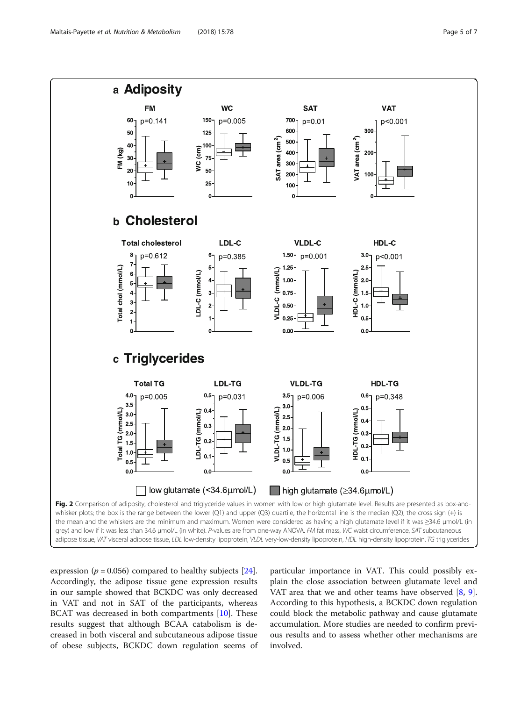<span id="page-4-0"></span>

expression ( $p = 0.056$ ) compared to healthy subjects [\[24](#page-6-0)]. Accordingly, the adipose tissue gene expression results in our sample showed that BCKDC was only decreased in VAT and not in SAT of the participants, whereas BCAT was decreased in both compartments [[10](#page-5-0)]. These results suggest that although BCAA catabolism is decreased in both visceral and subcutaneous adipose tissue of obese subjects, BCKDC down regulation seems of particular importance in VAT. This could possibly explain the close association between glutamate level and VAT area that we and other teams have observed [[8,](#page-5-0) [9](#page-5-0)]. According to this hypothesis, a BCKDC down regulation could block the metabolic pathway and cause glutamate accumulation. More studies are needed to confirm previous results and to assess whether other mechanisms are involved.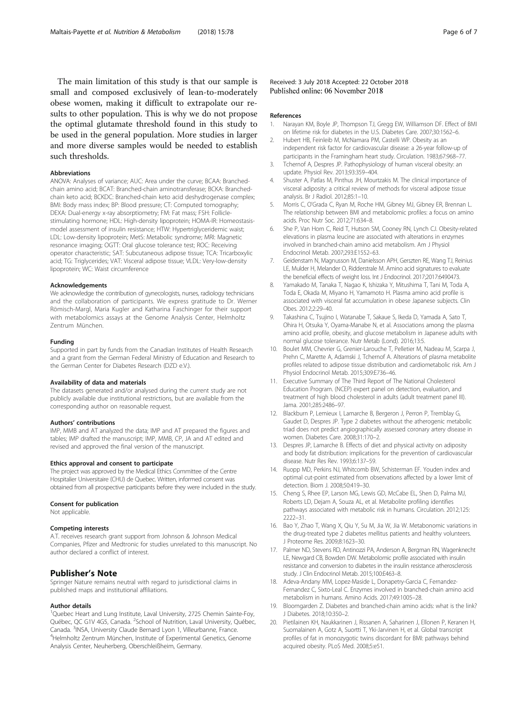<span id="page-5-0"></span>The main limitation of this study is that our sample is small and composed exclusively of lean-to-moderately obese women, making it difficult to extrapolate our results to other population. This is why we do not propose the optimal glutamate threshold found in this study to be used in the general population. More studies in larger and more diverse samples would be needed to establish such thresholds.

#### Abbreviations

ANOVA: Analyses of variance; AUC: Area under the curve; BCAA: Branchedchain amino acid; BCAT: Branched-chain aminotransferase; BCKA: Branchedchain keto acid; BCKDC: Branched-chain keto acid deshydrogenase complex; BMI: Body mass index; BP: Blood pressure; CT: Computed tomography; DEXA: Dual-energy x-ray absorptiometry; FM: Fat mass; FSH: Folliclestimulating hormone; HDL: High-density lipoprotein; HOMA-IR: Homeostasismodel assessment of insulin resistance; HTW: Hypertriglyceridemic waist; LDL: Low-density lipoprotein; MetS: Metabolic syndrome; MRI: Magnetic resonance imaging; OGTT: Oral glucose tolerance test; ROC: Receiving operator characteristic; SAT: Subcutaneous adipose tissue; TCA: Tricarboxylic acid; TG: Triglycerides; VAT: Visceral adipose tissue; VLDL: Very-low-density lipoprotein; WC: Waist circumference

#### Acknowledgements

We acknowledge the contribution of gynecologists, nurses, radiology technicians and the collaboration of participants. We express gratitude to Dr. Werner Römisch-Margl, Maria Kugler and Katharina Faschinger for their support with metabolomics assays at the Genome Analysis Center, Helmholtz Zentrum München.

#### Funding

Supported in part by funds from the Canadian Institutes of Health Research and a grant from the German Federal Ministry of Education and Research to the German Center for Diabetes Research (DZD e.V.).

#### Availability of data and materials

The datasets generated and/or analysed during the current study are not publicly available due institutional restrictions, but are available from the corresponding author on reasonable request.

#### Authors' contributions

IMP, MMB and AT analyzed the data; IMP and AT prepared the figures and tables; IMP drafted the manuscript; IMP, MMB, CP, JA and AT edited and revised and approved the final version of the manuscript.

## Ethics approval and consent to participate

The project was approved by the Medical Ethics Committee of the Centre Hospitalier Universitaire (CHU) de Quebec. Written, informed consent was obtained from all prospective participants before they were included in the study.

#### Consent for publication

Not applicable.

#### Competing interests

A.T. receives research grant support from Johnson & Johnson Medical Companies, Pfizer and Medtronic for studies unrelated to this manuscript. No author declared a conflict of interest.

#### Publisher's Note

Springer Nature remains neutral with regard to jurisdictional claims in published maps and institutional affiliations.

#### Author details

<sup>1</sup>Quebec Heart and Lung Institute, Laval University, 2725 Chemin Sainte-Foy, Québec, QC G1V 4G5, Canada. <sup>2</sup>School of Nutrition, Laval University, Québec, Canada. <sup>3</sup> INSA, University Claude Bernard Lyon 1, Villeurbanne, France. <sup>4</sup> <sup>4</sup>Helmholtz Zentrum München, Institute of Experimental Genetics, Genome Analysis Center, Neuherberg, Oberschleißheim, Germany.

Received: 3 July 2018 Accepted: 22 October 2018 Published online: 06 November 2018

#### References

- 1. Narayan KM, Boyle JP, Thompson TJ, Gregg EW, Williamson DF. Effect of BMI on lifetime risk for diabetes in the U.S. Diabetes Care. 2007;30:1562–6.
- 2. Hubert HB, Feinleib M, McNamara PM, Castelli WP. Obesity as an independent risk factor for cardiovascular disease: a 26-year follow-up of participants in the Framingham heart study. Circulation. 1983;67:968–77.
- 3. Tchernof A, Despres JP. Pathophysiology of human visceral obesity: an update. Physiol Rev. 2013;93:359–404.
- 4. Shuster A, Patlas M, Pinthus JH, Mourtzakis M. The clinical importance of visceral adiposity: a critical review of methods for visceral adipose tissue analysis. Br J Radiol. 2012;85:1–10.
- 5. Morris C, O'Grada C, Ryan M, Roche HM, Gibney MJ, Gibney ER, Brennan L. The relationship between BMI and metabolomic profiles: a focus on amino acids. Proc Nutr Soc. 2012;71:634–8.
- 6. She P, Van Horn C, Reid T, Hutson SM, Cooney RN, Lynch CJ. Obesity-related elevations in plasma leucine are associated with alterations in enzymes involved in branched-chain amino acid metabolism. Am J Physiol Endocrinol Metab. 2007;293:E1552–63.
- 7. Geidenstam N, Magnusson M, Danielsson APH, Gerszten RE, Wang TJ, Reinius LE, Mulder H, Melander O, Ridderstrale M. Amino acid signatures to evaluate the beneficial effects of weight loss. Int J Endocrinol. 2017;2017:6490473.
- 8. Yamakado M, Tanaka T, Nagao K, Ishizaka Y, Mitushima T, Tani M, Toda A, Toda E, Okada M, Miyano H, Yamamoto H. Plasma amino acid profile is associated with visceral fat accumulation in obese Japanese subjects. Clin Obes. 2012;2:29–40.
- 9. Takashina C, Tsujino I, Watanabe T, Sakaue S, Ikeda D, Yamada A, Sato T, Ohira H, Otsuka Y, Oyama-Manabe N, et al. Associations among the plasma amino acid profile, obesity, and glucose metabolism in Japanese adults with normal glucose tolerance. Nutr Metab (Lond). 2016;13:5.
- 10. Boulet MM, Chevrier G, Grenier-Larouche T, Pelletier M, Nadeau M, Scarpa J, Prehn C, Marette A, Adamski J, Tchernof A. Alterations of plasma metabolite profiles related to adipose tissue distribution and cardiometabolic risk. Am J Physiol Endocrinol Metab. 2015;309:E736–46.
- 11. Executive Summary of The Third Report of The National Cholesterol Education Program. (NCEP) expert panel on detection, evaluation, and treatment of high blood cholesterol in adults (adult treatment panel III). Jama. 2001;285:2486–97.
- 12. Blackburn P, Lemieux I, Lamarche B, Bergeron J, Perron P, Tremblay G, Gaudet D, Despres JP. Type 2 diabetes without the atherogenic metabolic triad does not predict angiographically assessed coronary artery disease in women. Diabetes Care. 2008;31:170–2.
- 13. Despres JP, Lamarche B. Effects of diet and physical activity on adiposity and body fat distribution: implications for the prevention of cardiovascular disease. Nutr Res Rev. 1993;6:137–59.
- 14. Ruopp MD, Perkins NJ, Whitcomb BW, Schisterman EF. Youden index and optimal cut-point estimated from observations affected by a lower limit of detection. Biom J. 2008;50:419–30.
- 15. Cheng S, Rhee EP, Larson MG, Lewis GD, McCabe EL, Shen D, Palma MJ, Roberts LD, Dejam A, Souza AL, et al. Metabolite profiling identifies pathways associated with metabolic risk in humans. Circulation. 2012;125: 2222–31.
- 16. Bao Y, Zhao T, Wang X, Qiu Y, Su M, Jia W, Jia W. Metabonomic variations in the drug-treated type 2 diabetes mellitus patients and healthy volunteers. J Proteome Res. 2009;8:1623–30.
- 17. Palmer ND, Stevens RD, Antinozzi PA, Anderson A, Bergman RN, Wagenknecht LE, Newgard CB, Bowden DW. Metabolomic profile associated with insulin resistance and conversion to diabetes in the insulin resistance atherosclerosis study. J Clin Endocrinol Metab. 2015;100:E463–8.
- 18. Adeva-Andany MM, Lopez-Maside L, Donapetry-Garcia C, Fernandez-Fernandez C, Sixto-Leal C. Enzymes involved in branched-chain amino acid metabolism in humans. Amino Acids. 2017;49:1005–28.
- 19. Bloomgarden Z. Diabetes and branched-chain amino acids: what is the link? J Diabetes. 2018;10:350–2.
- 20. Pietilainen KH, Naukkarinen J, Rissanen A, Saharinen J, Ellonen P, Keranen H, Suomalainen A, Gotz A, Suortti T, Yki-Jarvinen H, et al. Global transcript profiles of fat in monozygotic twins discordant for BMI: pathways behind acquired obesity. PLoS Med. 2008;5:e51.